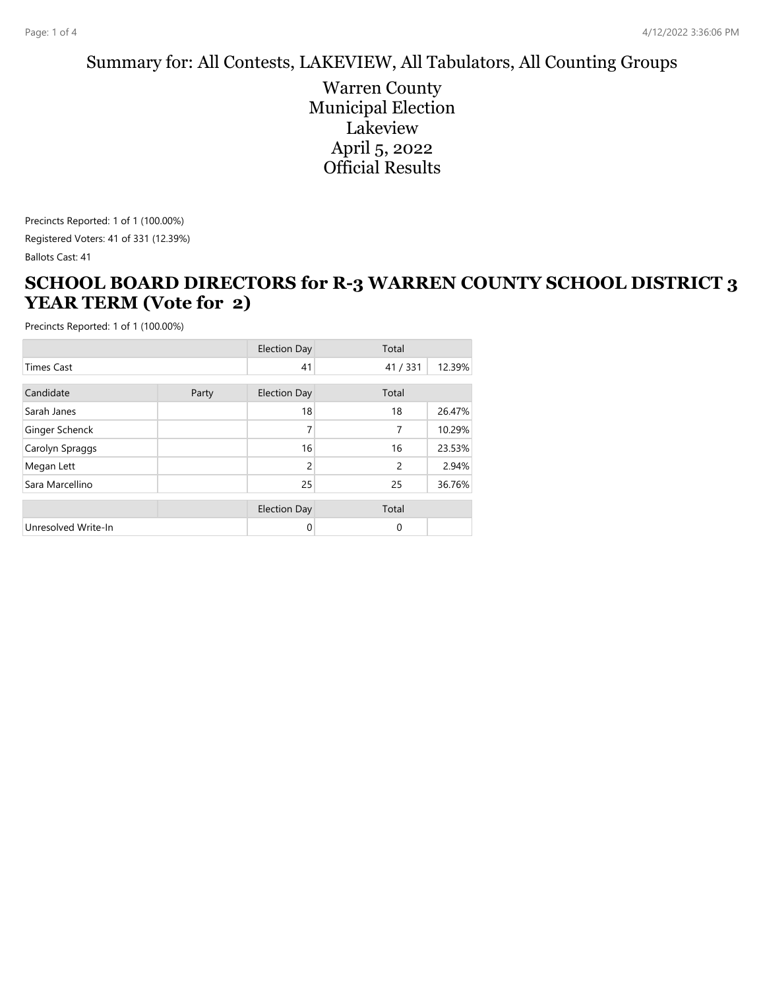#### Summary for: All Contests, LAKEVIEW, All Tabulators, All Counting Groups

Warren County Municipal Election Lakeview April 5, 2022 Official Results

Precincts Reported: 1 of 1 (100.00%)

Registered Voters: 41 of 331 (12.39%)

Ballots Cast: 41

### **SCHOOL BOARD DIRECTORS for R-3 WARREN COUNTY SCHOOL DISTRICT 3 YEAR TERM (Vote for 2)**

|                     |       | <b>Election Day</b> | Total          |        |  |
|---------------------|-------|---------------------|----------------|--------|--|
| <b>Times Cast</b>   |       | 41                  | 41/331         | 12.39% |  |
| Candidate           | Party | <b>Election Day</b> | Total          |        |  |
| Sarah Janes         |       | 18                  | 18             | 26.47% |  |
| Ginger Schenck      |       | 7                   | 7              | 10.29% |  |
| Carolyn Spraggs     |       | 16                  | 16             | 23.53% |  |
| Megan Lett          |       | $\overline{2}$      | $\overline{c}$ | 2.94%  |  |
| Sara Marcellino     |       | 25                  | 25             | 36.76% |  |
|                     |       | <b>Election Day</b> | Total          |        |  |
| Unresolved Write-In |       | 0                   | 0              |        |  |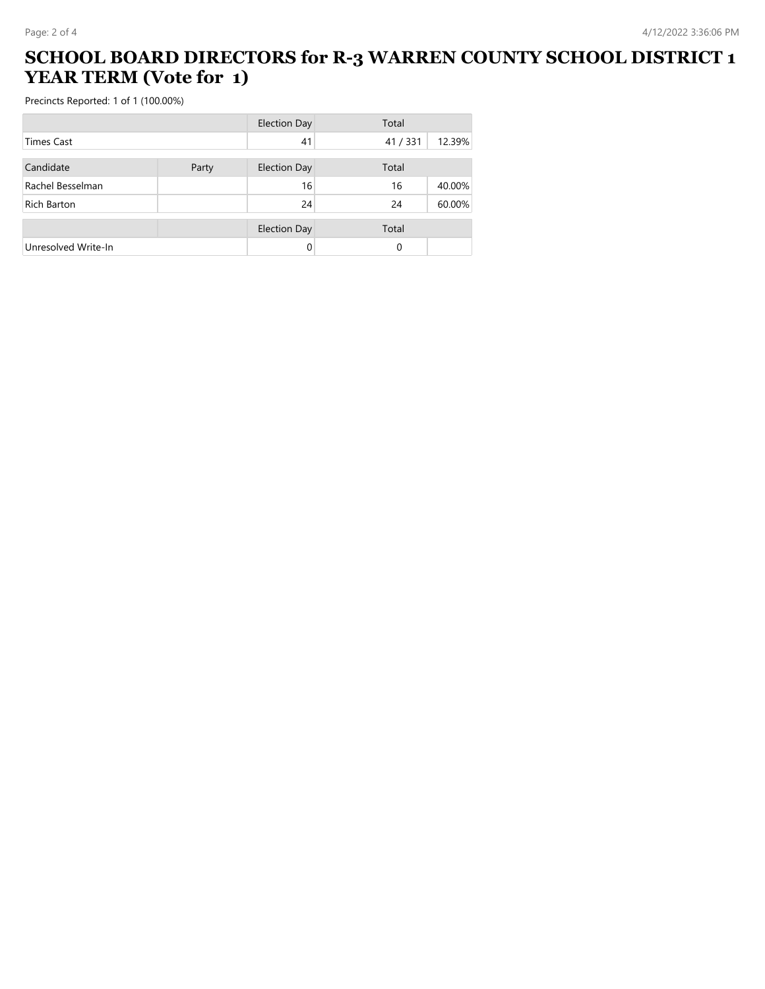### **SCHOOL BOARD DIRECTORS for R-3 WARREN COUNTY SCHOOL DISTRICT 1 YEAR TERM (Vote for 1)**

|                     |       | <b>Election Day</b> | Total    |        |  |
|---------------------|-------|---------------------|----------|--------|--|
| <b>Times Cast</b>   |       | 41                  | 41/331   | 12.39% |  |
| Candidate           | Party | <b>Election Day</b> | Total    |        |  |
| Rachel Besselman    |       | 16                  | 16       | 40.00% |  |
| Rich Barton         |       | 24                  | 24       | 60.00% |  |
|                     |       | <b>Election Day</b> | Total    |        |  |
| Unresolved Write-In |       | 0                   | $\Omega$ |        |  |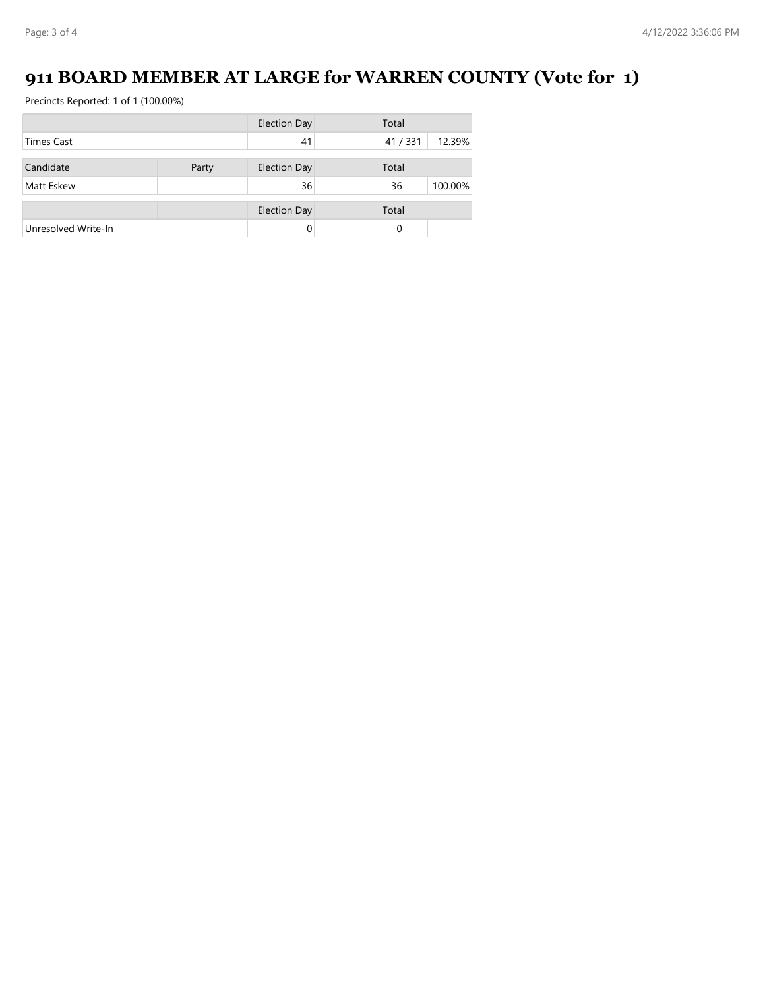# **911 BOARD MEMBER AT LARGE for WARREN COUNTY (Vote for 1)**

|                     |       | <b>Election Day</b> | Total  |         |
|---------------------|-------|---------------------|--------|---------|
| <b>Times Cast</b>   |       | 41                  | 41/331 | 12.39%  |
|                     |       |                     |        |         |
| Candidate           | Party | <b>Election Day</b> | Total  |         |
| Matt Eskew          |       | 36                  | 36     | 100.00% |
|                     |       | <b>Election Day</b> | Total  |         |
| Unresolved Write-In |       | 0                   | 0      |         |